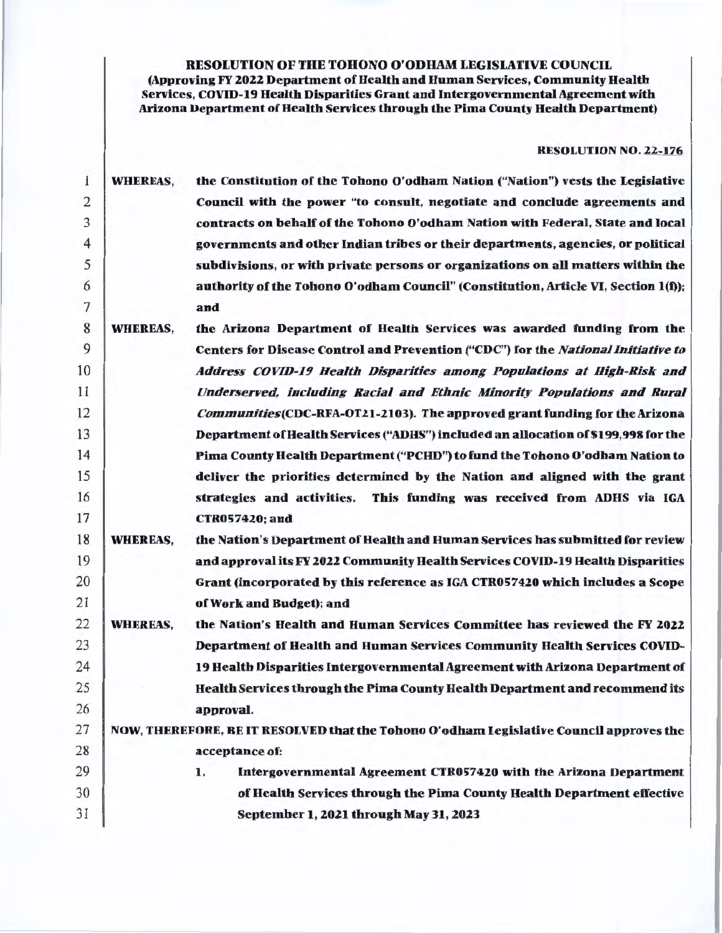RESOLUTION OF THE TOHONO O'ODHAM LEGISLATIVE COUNCIL

(Approving FY 2022 Department of Health and Human Services, Community Health Services, COVID-19 Health Disparities Grant and Intergovernmental Agreement with Arizona Department of Health Services through the Pima County Health Department)

### RESOLUTION NO. 22-176

| 1  | <b>WHEREAS,</b> | the Constitution of the Tohono O'odham Nation ("Nation") vests the Legislative          |
|----|-----------------|-----------------------------------------------------------------------------------------|
| 2  |                 | Council with the power "to consult, negotiate and conclude agreements and               |
| 3  |                 | contracts on behalf of the Tohono O'odham Nation with Federal, State and local          |
| 4  |                 | governments and other Indian tribes or their departments, agencies, or political        |
| 5  |                 | subdivisions, or with private persons or organizations on all matters within the        |
| 6  |                 | authority of the Tohono O'odham Council" (Constitution, Article VI, Section 1(f));      |
| 7  |                 | and                                                                                     |
| 8  | <b>WHEREAS,</b> | the Arizona Department of Health Services was awarded funding from the                  |
| 9  |                 | Centers for Disease Control and Prevention ("CDC") for the National Initiative to       |
| 10 |                 | Address COVID-19 Health Disparities among Populations at High-Risk and                  |
| 11 |                 | Underserved, including Racial and Ethnic Minority Populations and Rural                 |
| 12 |                 | Communities (CDC-RFA-OT21-2103). The approved grant funding for the Arizona             |
| 13 |                 | Department of Health Services ("ADHS") included an allocation of \$199,998 for the      |
| 14 |                 | Pima County Health Department ("PCHD") to fund the Tohono O'odham Nation to             |
| 15 |                 | deliver the priorities determined by the Nation and aligned with the grant              |
| 16 |                 | This funding was received from ADHS via IGA<br>strategies and activities.               |
| 17 |                 | <b>CTR057420; and</b>                                                                   |
| 18 | <b>WHEREAS,</b> | the Nation's Department of Health and Human Services has submitted for review           |
| 19 |                 | and approval its FY 2022 Community Health Services COVID-19 Health Disparities          |
| 20 |                 | Grant (incorporated by this reference as IGA CTR057420 which includes a Scope           |
| 21 |                 | of Work and Budget); and                                                                |
| 22 | <b>WHEREAS,</b> | the Nation's Health and Human Services Committee has reviewed the FY 2022               |
| 23 |                 | Department of Health and Human Services Community Health Services COVID-                |
| 24 |                 | 19 Health Disparities Intergovernmental Agreement with Arizona Department of            |
| 25 |                 | Health Services through the Pima County Health Department and recommend its             |
| 26 |                 | approval.                                                                               |
| 27 |                 | NOW, THEREFORE, BE IT RESOLVED that the Tohono O'odham Legislative Council approves the |
| 28 |                 | acceptance of:                                                                          |
| 29 |                 | Intergovernmental Agreement CTR057420 with the Arizona Department<br>1.                 |
| 30 |                 | of Health Services through the Pima County Health Department effective                  |
| 31 |                 | September 1, 2021 through May 31, 2023                                                  |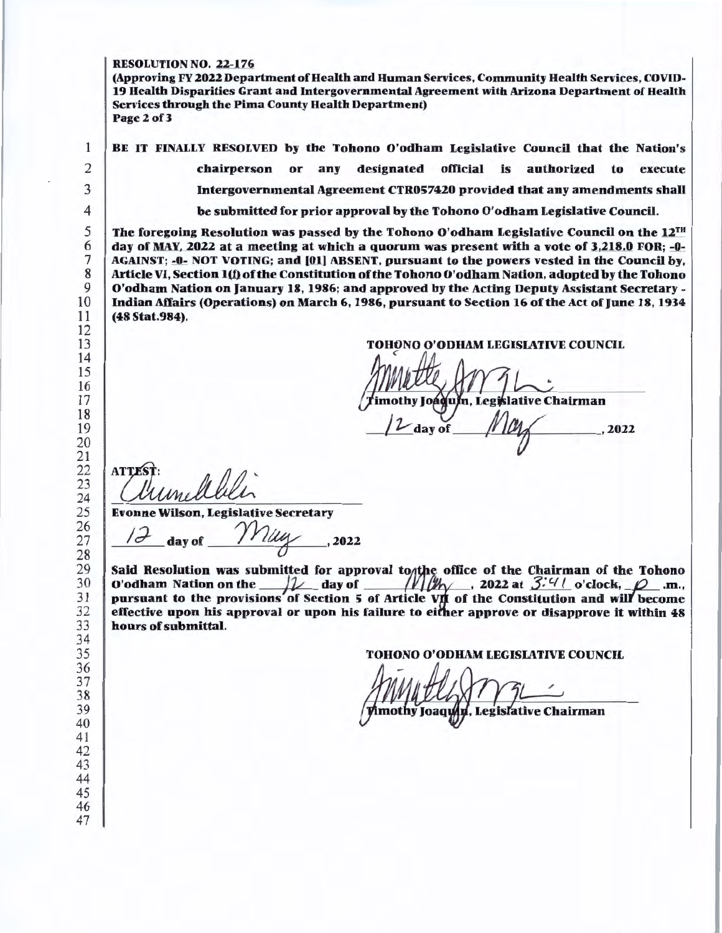#### RESOLUTION NO. 22-176

(Approving FY 2022 Department of Health and Human Services, Community Health Services, COVID-19 Health Disparities Grant and Intergovernmental Agreement with Arizona Department of Health Services through the Pima County Health Department) Page2of3

BE IT FINALLY RESOLVED by the Tohono O'odham Legislative Council that the Nation's chairperson or any designated official is authorized to execute Intergovernmental Agreement CTR057420 provided that any amendments shall be submitted for prior approval by the Tohono O'odham Legislative Council.

The foregoing Resolution was passed by the Tohono O'odham Legislative Council on the  $12^{TH}$ day of MAY, 2022 at a meeting at which a quorum was present with a vote of  $3,218.0$  FOR;  $-0$ -AGAINST; -0- NOT VOTING; and [01] ABSENT, pursuant to the powers vested in the Council by, Article VI, Section 1(f) of the Constitution of the Tohono O'odham Nation, adopted by the Tohono O'odham Nation on January 18, 1986; and approved by the Acting Deputy Assistant Secretary -Indian Affairs (Operations) on March 6, 1986, pursuant to Section 16 of the Act of June 18, 1934 (48 Stat.984).

## TOHONO O'ODHAM LEGISLATIVE COUNCIL <sup>&</sup>lt;

.. imothy Joáquín, Legislative Chairman

day of

**ATTE** 

Evonne Wilson, Legislative Secretary

day of *Muy*, 2022

Said Resolution was submitted for approval to the office of the Chairman of the Tohono O'odham Nation on the  $\frac{1}{\sqrt{2}}$  day of  $\frac{1}{\sqrt{2}}$ , 2022 at  $\frac{3.4}{1}$  o'clock,  $\frac{1}{\sqrt{2}}$ .m., pursuant to the provisions of Section 5 of Article VII of the Constitution and will become effective upon his approval or upon his failure to either approve or disapprove it within 48 hours of submittal .

TOHONO O'ODHAM LEGISIATIVE COUNCIL

mothy Joaqu **Legislative Chairman**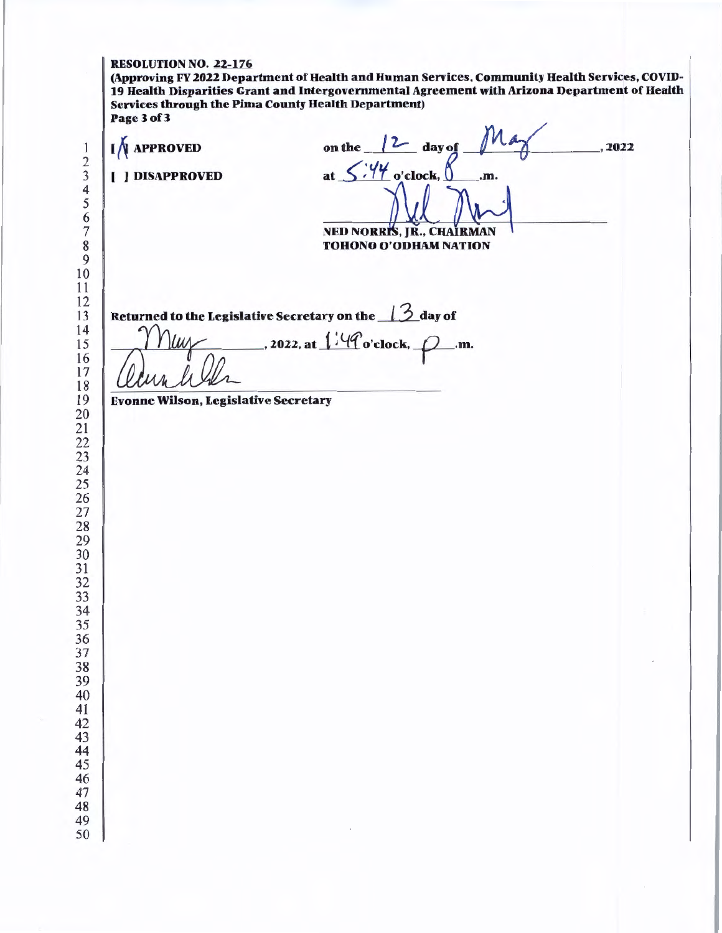#### RESOLUTION NO. 22-176

(Approving FY 2022 Department of Health and Human Services, Community Health Services, COVID-19 Health Disparities Grant and Intergovernmental Agreement with Arizona Department of Health Services through the Pima County Health Department) Page3of3

| <b>APPROVED</b><br>[ ] DISAPPROVED          | Ma<br>on the $\sqrt{2}$ day of<br>at $5.44$ o'clock, $8$<br>.m. | , 2022 |
|---------------------------------------------|-----------------------------------------------------------------|--------|
|                                             |                                                                 |        |
|                                             | NED NORRIS, JR., CHAIRMAN<br>TOHONO O'ODHAM NATION              |        |
|                                             |                                                                 |        |
|                                             | Returned to the Legislative Secretary on the 13 day of          |        |
| nun                                         | . 2022, at $1.49$ o'clock, $\varphi$ .m.                        |        |
| <b>Evonne Wilson, Legislative Secretary</b> |                                                                 |        |
|                                             |                                                                 |        |
|                                             |                                                                 |        |
|                                             |                                                                 |        |
|                                             |                                                                 |        |
|                                             |                                                                 |        |
|                                             |                                                                 |        |
|                                             |                                                                 |        |
|                                             |                                                                 |        |
|                                             |                                                                 |        |
|                                             |                                                                 |        |
|                                             |                                                                 |        |
|                                             |                                                                 |        |
|                                             |                                                                 |        |